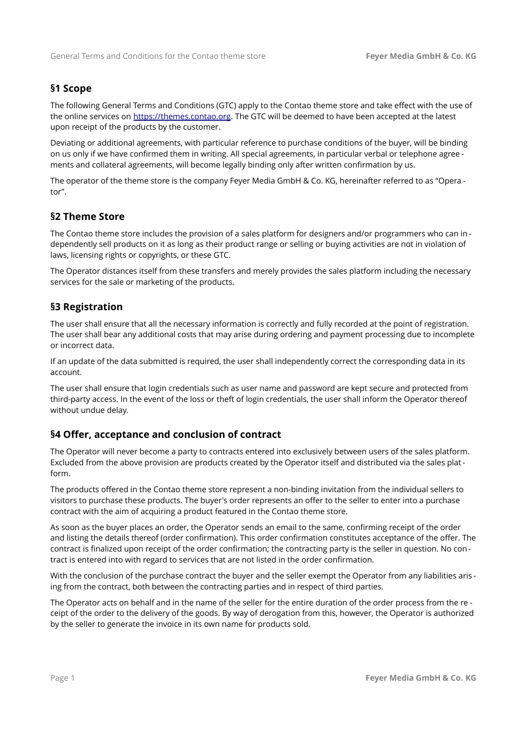## **§1 Scope**

The following General Terms and Conditions (GTC) apply to the Contao theme store and take effect with the use of the online services on [https://themes.contao.org.](https://themes.contao.org/) The GTC will be deemed to have been accepted at the latest upon receipt of the products by the customer.

Deviating or additional agreements, with particular reference to purchase conditions of the buyer, will be binding on us only if we have confirmed them in writing. All special agreements, in particular verbal or telephone agree ments and collateral agreements, will become legally binding only after written confirmation by us.

The operator of the theme store is the company Feyer Media GmbH & Co. KG, hereinafter referred to as "Opera tor".

### **§2 Theme Store**

The Contao theme store includes the provision of a sales platform for designers and/or programmers who can in dependently sell products on it as long as their product range or selling or buying activities are not in violation of laws, licensing rights or copyrights, or these GTC.

The Operator distances itself from these transfers and merely provides the sales platform including the necessary services for the sale or marketing of the products.

# **§3 Registration**

The user shall ensure that all the necessary information is correctly and fully recorded at the point of registration. The user shall bear any additional costs that may arise during ordering and payment processing due to incomplete or incorrect data.

If an update of the data submitted is required, the user shall independently correct the corresponding data in its account.

The user shall ensure that login credentials such as user name and password are kept secure and protected from third-party access. In the event of the loss or theft of login credentials, the user shall inform the Operator thereof without undue delay.

### **§4 Offer, acceptance and conclusion of contract**

The Operator will never become a party to contracts entered into exclusively between users of the sales platform. Excluded from the above provision are products created by the Operator itself and distributed via the sales platform.

The products offered in the Contao theme store represent a non-binding invitation from the individual sellers to visitors to purchase these products. The buyer's order represents an offer to the seller to enter into a purchase contract with the aim of acquiring a product featured in the Contao theme store.

As soon as the buyer places an order, the Operator sends an email to the same, confirming receipt of the order and listing the details thereof (order confirmation). This order confirmation constitutes acceptance of the offer. The contract is finalized upon receipt of the order confirmation; the contracting party is the seller in question. No con tract is entered into with regard to services that are not listed in the order confirmation.

With the conclusion of the purchase contract the buyer and the seller exempt the Operator from any liabilities aris ing from the contract, both between the contracting parties and in respect of third parties.

The Operator acts on behalf and in the name of the seller for the entire duration of the order process from the re ceipt of the order to the delivery of the goods. By way of derogation from this, however, the Operator is authorized by the seller to generate the invoice in its own name for products sold.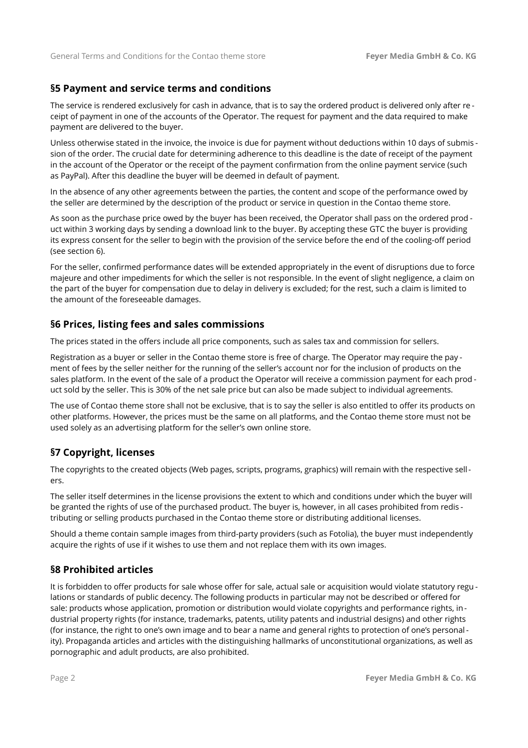# **§5 Payment and service terms and conditions**

The service is rendered exclusively for cash in advance, that is to say the ordered product is delivered only after re ceipt of payment in one of the accounts of the Operator. The request for payment and the data required to make payment are delivered to the buyer.

Unless otherwise stated in the invoice, the invoice is due for payment without deductions within 10 days of submis sion of the order. The crucial date for determining adherence to this deadline is the date of receipt of the payment in the account of the Operator or the receipt of the payment confirmation from the online payment service (such as PayPal). After this deadline the buyer will be deemed in default of payment.

In the absence of any other agreements between the parties, the content and scope of the performance owed by the seller are determined by the description of the product or service in question in the Contao theme store.

As soon as the purchase price owed by the buyer has been received, the Operator shall pass on the ordered prod uct within 3 working days by sending a download link to the buyer. By accepting these GTC the buyer is providing its express consent for the seller to begin with the provision of the service before the end of the cooling-off period (see section 6).

For the seller, confirmed performance dates will be extended appropriately in the event of disruptions due to force majeure and other impediments for which the seller is not responsible. In the event of slight negligence, a claim on the part of the buyer for compensation due to delay in delivery is excluded; for the rest, such a claim is limited to the amount of the foreseeable damages.

# **§6 Prices, listing fees and sales commissions**

The prices stated in the offers include all price components, such as sales tax and commission for sellers.

Registration as a buyer or seller in the Contao theme store is free of charge. The Operator may require the pay ment of fees by the seller neither for the running of the seller's account nor for the inclusion of products on the sales platform. In the event of the sale of a product the Operator will receive a commission payment for each prod uct sold by the seller. This is 30% of the net sale price but can also be made subject to individual agreements.

The use of Contao theme store shall not be exclusive, that is to say the seller is also entitled to offer its products on other platforms. However, the prices must be the same on all platforms, and the Contao theme store must not be used solely as an advertising platform for the seller's own online store.

# **§7 Copyright, licenses**

The copyrights to the created objects (Web pages, scripts, programs, graphics) will remain with the respective sellers.

The seller itself determines in the license provisions the extent to which and conditions under which the buyer will be granted the rights of use of the purchased product. The buyer is, however, in all cases prohibited from redis tributing or selling products purchased in the Contao theme store or distributing additional licenses.

Should a theme contain sample images from third-party providers (such as Fotolia), the buyer must independently acquire the rights of use if it wishes to use them and not replace them with its own images.

# **§8 Prohibited articles**

It is forbidden to offer products for sale whose offer for sale, actual sale or acquisition would violate statutory regu lations or standards of public decency. The following products in particular may not be described or offered for sale: products whose application, promotion or distribution would violate copyrights and performance rights, industrial property rights (for instance, trademarks, patents, utility patents and industrial designs) and other rights (for instance, the right to one's own image and to bear a name and general rights to protection of one's personal ity). Propaganda articles and articles with the distinguishing hallmarks of unconstitutional organizations, as well as pornographic and adult products, are also prohibited.